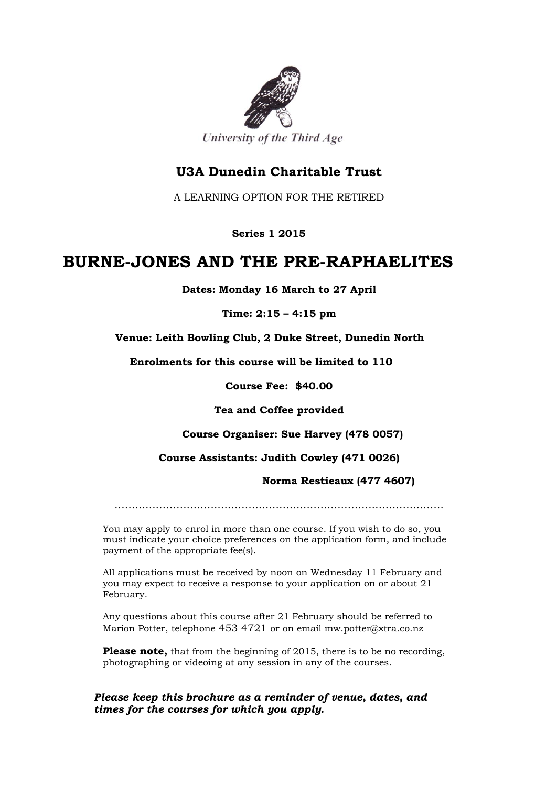

## **U3A Dunedin Charitable Trust**

A LEARNING OPTION FOR THE RETIRED

**Series 1 2015**

# **BURNE-JONES AND THE PRE-RAPHAELITES**

**Dates: Monday 16 March to 27 April**

**Time: 2:15 – 4:15 pm**

 **Venue: Leith Bowling Club, 2 Duke Street, Dunedin North**

 **Enrolments for this course will be limited to 110**

**Course Fee: \$40.00**

**Tea and Coffee provided**

 **Course Organiser: Sue Harvey (478 0057)**

**Course Assistants: Judith Cowley (471 0026)**

#### **Norma Restieaux (477 4607)**

……………………………………………………………………………………

You may apply to enrol in more than one course. If you wish to do so, you must indicate your choice preferences on the application form, and include payment of the appropriate fee(s).

All applications must be received by noon on Wednesday 11 February and you may expect to receive a response to your application on or about 21 February.

Any questions about this course after 21 February should be referred to Marion Potter, telephone 453 4721 or on email mw.potter@xtra.co.nz

**Please note,** that from the beginning of 2015, there is to be no recording, photographing or videoing at any session in any of the courses.

#### *Please keep this brochure as a reminder of venue, dates, and times for the courses for which you apply.*